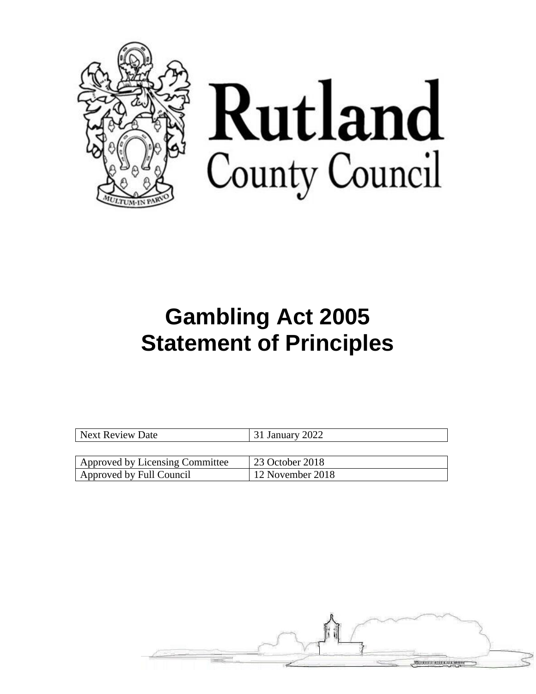



# **Gambling Act 2005 Statement of Principles**

| Next Review Date                | 31 January 2022  |
|---------------------------------|------------------|
|                                 |                  |
| Approved by Licensing Committee | 23 October 2018  |
| Approved by Full Council        | 12 November 2018 |

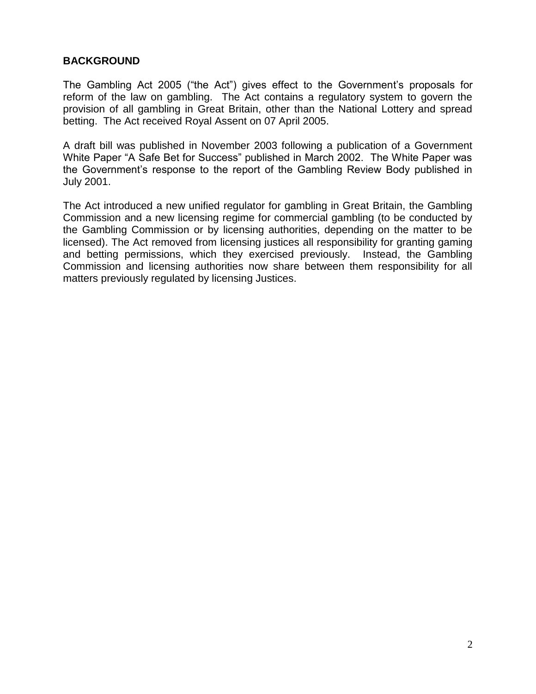#### **BACKGROUND**

The Gambling Act 2005 ("the Act") gives effect to the Government's proposals for reform of the law on gambling. The Act contains a regulatory system to govern the provision of all gambling in Great Britain, other than the National Lottery and spread betting. The Act received Royal Assent on 07 April 2005.

A draft bill was published in November 2003 following a publication of a Government White Paper "A Safe Bet for Success" published in March 2002. The White Paper was the Government's response to the report of the Gambling Review Body published in July 2001.

The Act introduced a new unified regulator for gambling in Great Britain, the Gambling Commission and a new licensing regime for commercial gambling (to be conducted by the Gambling Commission or by licensing authorities, depending on the matter to be licensed). The Act removed from licensing justices all responsibility for granting gaming and betting permissions, which they exercised previously. Instead, the Gambling Commission and licensing authorities now share between them responsibility for all matters previously regulated by licensing Justices.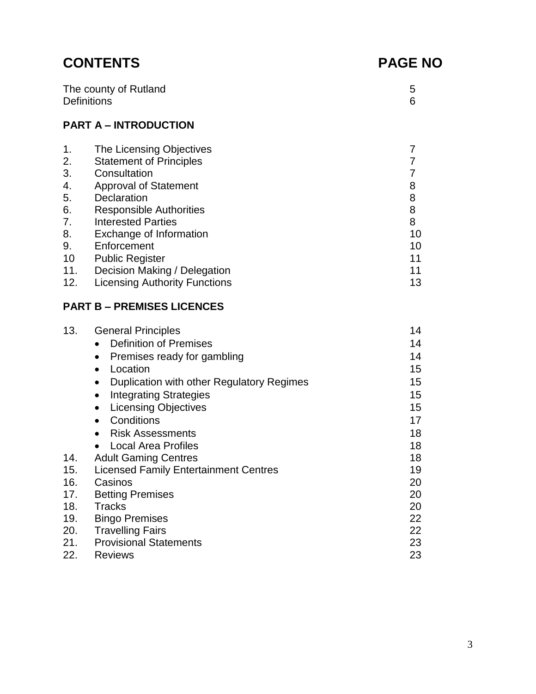# **CONTENTS PAGE NO**

| The county of Rutland |  |
|-----------------------|--|
|                       |  |
| <b>Definitions</b>    |  |
|                       |  |
|                       |  |

#### **PART A – INTRODUCTION**

| $\mathbf 1$ . | The Licensing Objectives             |    |
|---------------|--------------------------------------|----|
| 2.            | <b>Statement of Principles</b>       |    |
| 3.            | Consultation                         |    |
| 4.            | <b>Approval of Statement</b>         | 8  |
| 5.            | Declaration                          | 8  |
| 6.            | <b>Responsible Authorities</b>       | 8  |
| 7.            | <b>Interested Parties</b>            | 8  |
| 8.            | Exchange of Information              | 10 |
| 9.            | Enforcement                          | 10 |
| 10            | <b>Public Register</b>               | 11 |
| 11.           | Decision Making / Delegation         | 11 |
| 12.           | <b>Licensing Authority Functions</b> | 13 |

#### **PART B – PREMISES LICENCES**

| 13. | <b>General Principles</b>                    | 14 |
|-----|----------------------------------------------|----|
|     | <b>Definition of Premises</b>                | 14 |
|     | Premises ready for gambling                  | 14 |
|     | Location<br>$\bullet$                        | 15 |
|     | Duplication with other Regulatory Regimes    | 15 |
|     | <b>Integrating Strategies</b>                | 15 |
|     | <b>Licensing Objectives</b>                  | 15 |
|     | Conditions<br>$\bullet$                      | 17 |
|     | <b>Risk Assessments</b>                      | 18 |
|     | <b>Local Area Profiles</b>                   | 18 |
| 14. | <b>Adult Gaming Centres</b>                  | 18 |
| 15. | <b>Licensed Family Entertainment Centres</b> | 19 |
| 16. | Casinos                                      | 20 |
| 17. | <b>Betting Premises</b>                      | 20 |
| 18. | <b>Tracks</b>                                | 20 |
| 19. | <b>Bingo Premises</b>                        | 22 |
| 20. | <b>Travelling Fairs</b>                      | 22 |
| 21. | <b>Provisional Statements</b>                | 23 |
| 22. | <b>Reviews</b>                               | 23 |
|     |                                              |    |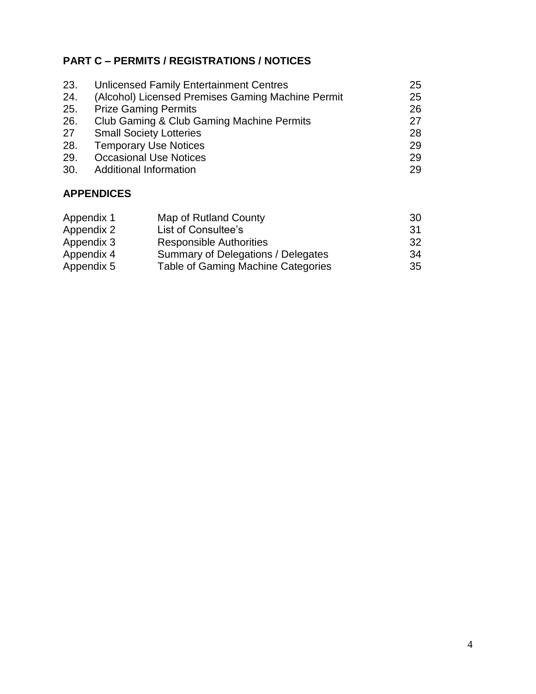#### **PART C – PERMITS / REGISTRATIONS / NOTICES**

| 23. | <b>Unlicensed Family Entertainment Centres</b>    | 25 |
|-----|---------------------------------------------------|----|
| 24. | (Alcohol) Licensed Premises Gaming Machine Permit | 25 |
| 25. | <b>Prize Gaming Permits</b>                       | 26 |
| 26. | Club Gaming & Club Gaming Machine Permits         | 27 |
| 27  | <b>Small Society Lotteries</b>                    | 28 |
| 28. | <b>Temporary Use Notices</b>                      | 29 |
| 29. | <b>Occasional Use Notices</b>                     | 29 |
| 30. | <b>Additional Information</b>                     | 29 |

#### **APPENDICES**

| Appendix 1 | Map of Rutland County                     | -30 |
|------------|-------------------------------------------|-----|
| Appendix 2 | List of Consultee's                       | 31  |
| Appendix 3 | <b>Responsible Authorities</b>            | 32  |
| Appendix 4 | Summary of Delegations / Delegates        | 34  |
| Appendix 5 | <b>Table of Gaming Machine Categories</b> | 35  |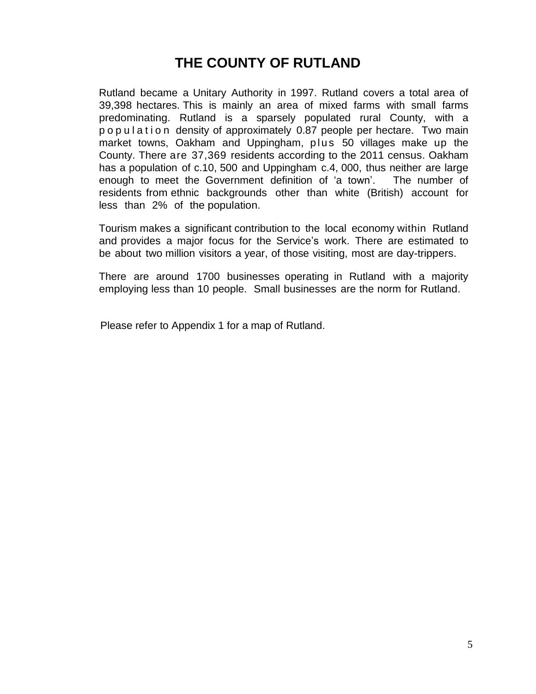# **THE COUNTY OF RUTLAND**

Rutland became a Unitary Authority in 1997. Rutland covers a total area of 39,398 hectares. This is mainly an area of mixed farms with small farms predominating. Rutland is a sparsely populated rural County, with a p o p u l a t i o n density of approximately 0.87 people per hectare. Two main market towns, Oakham and Uppingham, plus 50 villages make up the County. There are 37,369 residents according to the 2011 census. Oakham has a population of c.10, 500 and Uppingham c.4, 000, thus neither are large enough to meet the Government definition of 'a town'. The number of residents from ethnic backgrounds other than white (British) account for less than 2% of the population.

Tourism makes a significant contribution to the local economy within Rutland and provides a major focus for the Service's work. There are estimated to be about two million visitors a year, of those visiting, most are day-trippers.

There are around 1700 businesses operating in Rutland with a majority employing less than 10 people. Small businesses are the norm for Rutland.

Please refer to Appendix 1 for a map of Rutland.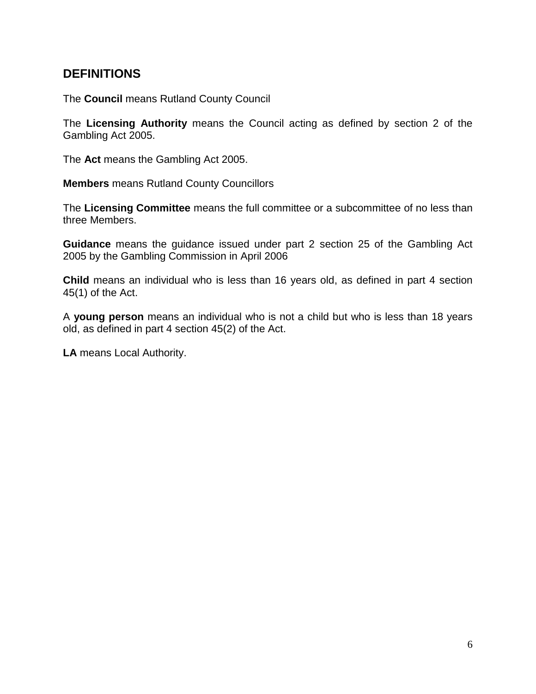#### **DEFINITIONS**

The **Council** means Rutland County Council

The **Licensing Authority** means the Council acting as defined by section 2 of the Gambling Act 2005.

The **Act** means the Gambling Act 2005.

**Members** means Rutland County Councillors

The **Licensing Committee** means the full committee or a subcommittee of no less than three Members.

**Guidance** means the guidance issued under part 2 section 25 of the Gambling Act 2005 by the Gambling Commission in April 2006

**Child** means an individual who is less than 16 years old, as defined in part 4 section 45(1) of the Act.

A **young person** means an individual who is not a child but who is less than 18 years old, as defined in part 4 section 45(2) of the Act.

**LA** means Local Authority.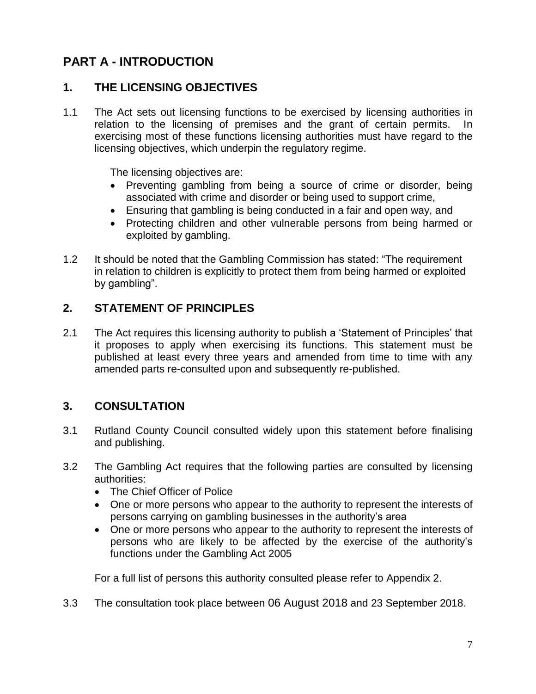# **PART A - INTRODUCTION**

#### **1. THE LICENSING OBJECTIVES**

1.1 The Act sets out licensing functions to be exercised by licensing authorities in relation to the licensing of premises and the grant of certain permits. In exercising most of these functions licensing authorities must have regard to the licensing objectives, which underpin the regulatory regime.

The licensing objectives are:

- Preventing gambling from being a source of crime or disorder, being associated with crime and disorder or being used to support crime,
- Ensuring that gambling is being conducted in a fair and open way, and
- Protecting children and other vulnerable persons from being harmed or exploited by gambling.
- 1.2 It should be noted that the Gambling Commission has stated: "The requirement in relation to children is explicitly to protect them from being harmed or exploited by gambling".

#### **2. STATEMENT OF PRINCIPLES**

2.1 The Act requires this licensing authority to publish a 'Statement of Principles' that it proposes to apply when exercising its functions. This statement must be published at least every three years and amended from time to time with any amended parts re-consulted upon and subsequently re-published.

#### **3. CONSULTATION**

- 3.1 Rutland County Council consulted widely upon this statement before finalising and publishing.
- 3.2 The Gambling Act requires that the following parties are consulted by licensing authorities:
	- The Chief Officer of Police
	- One or more persons who appear to the authority to represent the interests of persons carrying on gambling businesses in the authority's area
	- One or more persons who appear to the authority to represent the interests of persons who are likely to be affected by the exercise of the authority's functions under the Gambling Act 2005

For a full list of persons this authority consulted please refer to Appendix 2.

3.3 The consultation took place between 06 August 2018 and 23 September 2018.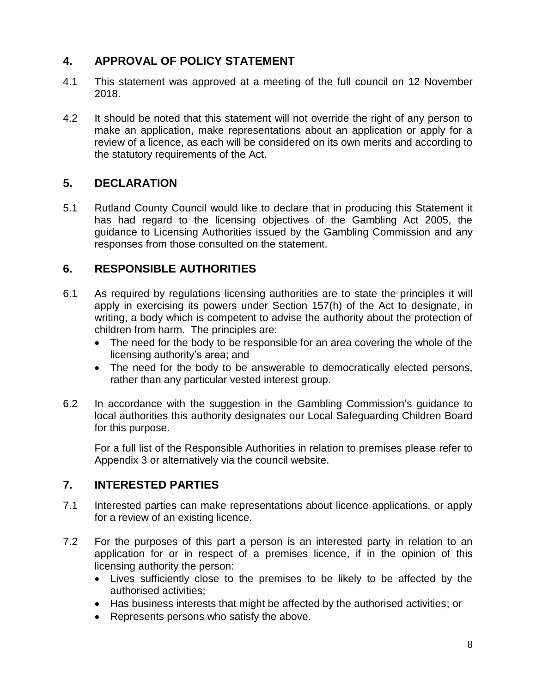#### **4. APPROVAL OF POLICY STATEMENT**

- 4.1 This statement was approved at a meeting of the full council on 12 November 2018.
- 4.2 It should be noted that this statement will not override the right of any person to make an application, make representations about an application or apply for a review of a licence, as each will be considered on its own merits and according to the statutory requirements of the Act.

#### **5. DECLARATION**

5.1 Rutland County Council would like to declare that in producing this Statement it has had regard to the licensing objectives of the Gambling Act 2005, the guidance to Licensing Authorities issued by the Gambling Commission and any responses from those consulted on the statement.

#### **6. RESPONSIBLE AUTHORITIES**

- 6.1 As required by regulations licensing authorities are to state the principles it will apply in exercising its powers under Section 157(h) of the Act to designate, in writing, a body which is competent to advise the authority about the protection of children from harm. The principles are:
	- The need for the body to be responsible for an area covering the whole of the licensing authority's area; and
	- The need for the body to be answerable to democratically elected persons, rather than any particular vested interest group.
- 6.2 In accordance with the suggestion in the Gambling Commission's guidance to local authorities this authority designates our Local Safeguarding Children Board for this purpose.

For a full list of the Responsible Authorities in relation to premises please refer to Appendix 3 or alternatively via the council website.

#### **7. INTERESTED PARTIES**

- 7.1 Interested parties can make representations about licence applications, or apply for a review of an existing licence.
- 7.2 For the purposes of this part a person is an interested party in relation to an application for or in respect of a premises licence, if in the opinion of this licensing authority the person:
	- Lives sufficiently close to the premises to be likely to be affected by the authorised activities;
	- Has business interests that might be affected by the authorised activities; or
	- Represents persons who satisfy the above.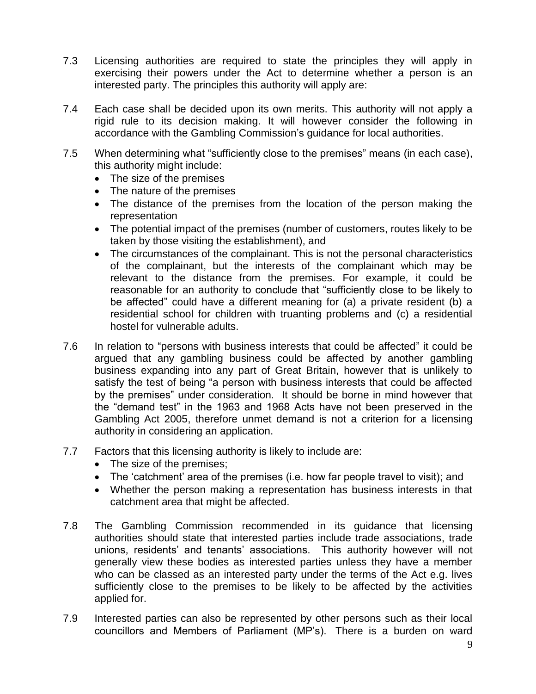- 7.3 Licensing authorities are required to state the principles they will apply in exercising their powers under the Act to determine whether a person is an interested party. The principles this authority will apply are:
- 7.4 Each case shall be decided upon its own merits. This authority will not apply a rigid rule to its decision making. It will however consider the following in accordance with the Gambling Commission's guidance for local authorities.
- 7.5 When determining what "sufficiently close to the premises" means (in each case), this authority might include:
	- The size of the premises
	- The nature of the premises
	- The distance of the premises from the location of the person making the representation
	- The potential impact of the premises (number of customers, routes likely to be taken by those visiting the establishment), and
	- The circumstances of the complainant. This is not the personal characteristics of the complainant, but the interests of the complainant which may be relevant to the distance from the premises. For example, it could be reasonable for an authority to conclude that "sufficiently close to be likely to be affected" could have a different meaning for (a) a private resident (b) a residential school for children with truanting problems and (c) a residential hostel for vulnerable adults.
- 7.6 In relation to "persons with business interests that could be affected" it could be argued that any gambling business could be affected by another gambling business expanding into any part of Great Britain, however that is unlikely to satisfy the test of being "a person with business interests that could be affected by the premises" under consideration. It should be borne in mind however that the "demand test" in the 1963 and 1968 Acts have not been preserved in the Gambling Act 2005, therefore unmet demand is not a criterion for a licensing authority in considering an application.
- 7.7 Factors that this licensing authority is likely to include are:
	- The size of the premises;
	- The 'catchment' area of the premises (i.e. how far people travel to visit); and
	- Whether the person making a representation has business interests in that catchment area that might be affected.
- 7.8 The Gambling Commission recommended in its guidance that licensing authorities should state that interested parties include trade associations, trade unions, residents' and tenants' associations. This authority however will not generally view these bodies as interested parties unless they have a member who can be classed as an interested party under the terms of the Act e.g. lives sufficiently close to the premises to be likely to be affected by the activities applied for.
- 7.9 Interested parties can also be represented by other persons such as their local councillors and Members of Parliament (MP's). There is a burden on ward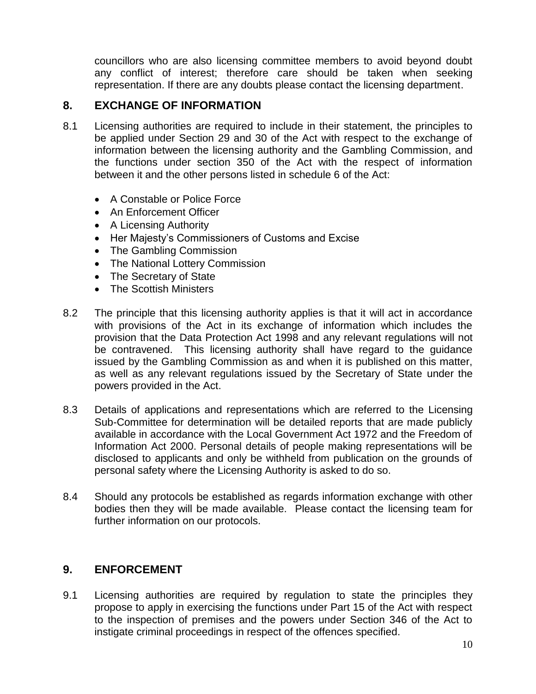councillors who are also licensing committee members to avoid beyond doubt any conflict of interest; therefore care should be taken when seeking representation. If there are any doubts please contact the licensing department.

#### **8. EXCHANGE OF INFORMATION**

- 8.1 Licensing authorities are required to include in their statement, the principles to be applied under Section 29 and 30 of the Act with respect to the exchange of information between the licensing authority and the Gambling Commission, and the functions under section 350 of the Act with the respect of information between it and the other persons listed in schedule 6 of the Act:
	- A Constable or Police Force
	- An Enforcement Officer
	- A Licensing Authority
	- Her Majesty's Commissioners of Customs and Excise
	- The Gambling Commission
	- The National Lottery Commission
	- The Secretary of State
	- The Scottish Ministers
- 8.2 The principle that this licensing authority applies is that it will act in accordance with provisions of the Act in its exchange of information which includes the provision that the Data Protection Act 1998 and any relevant regulations will not be contravened. This licensing authority shall have regard to the guidance issued by the Gambling Commission as and when it is published on this matter, as well as any relevant regulations issued by the Secretary of State under the powers provided in the Act.
- 8.3 Details of applications and representations which are referred to the Licensing Sub-Committee for determination will be detailed reports that are made publicly available in accordance with the Local Government Act 1972 and the Freedom of Information Act 2000. Personal details of people making representations will be disclosed to applicants and only be withheld from publication on the grounds of personal safety where the Licensing Authority is asked to do so.
- 8.4 Should any protocols be established as regards information exchange with other bodies then they will be made available. Please contact the licensing team for further information on our protocols.

#### **9. ENFORCEMENT**

9.1 Licensing authorities are required by regulation to state the principles they propose to apply in exercising the functions under Part 15 of the Act with respect to the inspection of premises and the powers under Section 346 of the Act to instigate criminal proceedings in respect of the offences specified.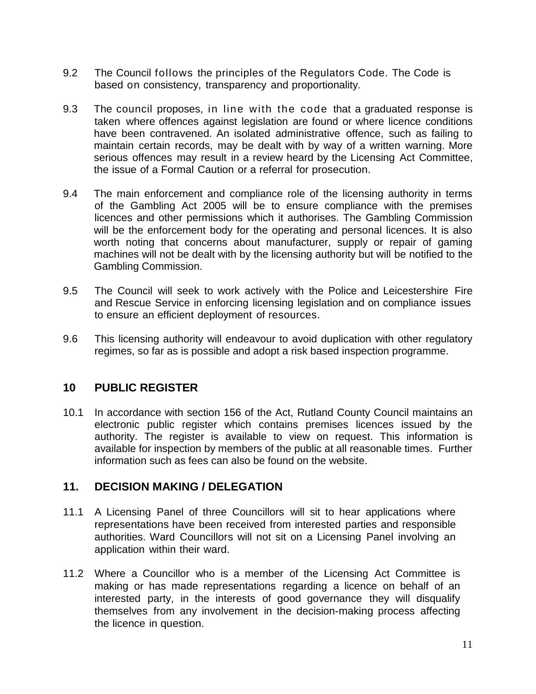- 9.2 The Council follows the principles of the Regulators Code. The Code is based on consistency, transparency and proportionality.
- 9.3 The council proposes, in line with the code that a graduated response is taken where offences against legislation are found or where licence conditions have been contravened. An isolated administrative offence, such as failing to maintain certain records, may be dealt with by way of a written warning. More serious offences may result in a review heard by the Licensing Act Committee, the issue of a Formal Caution or a referral for prosecution.
- 9.4 The main enforcement and compliance role of the licensing authority in terms of the Gambling Act 2005 will be to ensure compliance with the premises licences and other permissions which it authorises. The Gambling Commission will be the enforcement body for the operating and personal licences. It is also worth noting that concerns about manufacturer, supply or repair of gaming machines will not be dealt with by the licensing authority but will be notified to the Gambling Commission.
- 9.5 The Council will seek to work actively with the Police and Leicestershire Fire and Rescue Service in enforcing licensing legislation and on compliance issues to ensure an efficient deployment of resources.
- 9.6 This licensing authority will endeavour to avoid duplication with other regulatory regimes, so far as is possible and adopt a risk based inspection programme.

#### **10 PUBLIC REGISTER**

10.1 In accordance with section 156 of the Act, Rutland County Council maintains an electronic public register which contains premises licences issued by the authority. The register is available to view on request. This information is available for inspection by members of the public at all reasonable times. Further information such as fees can also be found on the website.

#### **11. DECISION MAKING / DELEGATION**

- 11.1 A Licensing Panel of three Councillors will sit to hear applications where representations have been received from interested parties and responsible authorities. Ward Councillors will not sit on a Licensing Panel involving an application within their ward.
- 11.2 Where a Councillor who is a member of the Licensing Act Committee is making or has made representations regarding a licence on behalf of an interested party, in the interests of good governance they will disqualify themselves from any involvement in the decision-making process affecting the licence in question.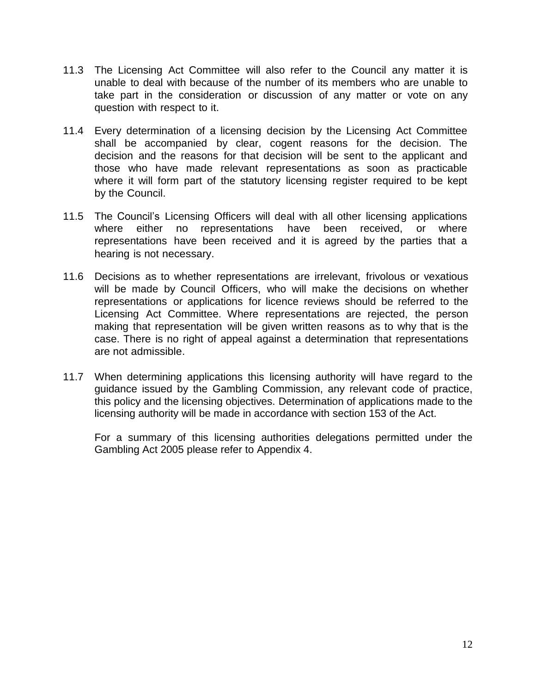- 11.3 The Licensing Act Committee will also refer to the Council any matter it is unable to deal with because of the number of its members who are unable to take part in the consideration or discussion of any matter or vote on any question with respect to it.
- 11.4 Every determination of a licensing decision by the Licensing Act Committee shall be accompanied by clear, cogent reasons for the decision. The decision and the reasons for that decision will be sent to the applicant and those who have made relevant representations as soon as practicable where it will form part of the statutory licensing register required to be kept by the Council.
- 11.5 The Council's Licensing Officers will deal with all other licensing applications where either no representations have been received, or where representations have been received and it is agreed by the parties that a hearing is not necessary.
- 11.6 Decisions as to whether representations are irrelevant, frivolous or vexatious will be made by Council Officers, who will make the decisions on whether representations or applications for licence reviews should be referred to the Licensing Act Committee. Where representations are rejected, the person making that representation will be given written reasons as to why that is the case. There is no right of appeal against a determination that representations are not admissible.
- 11.7 When determining applications this licensing authority will have regard to the guidance issued by the Gambling Commission, any relevant code of practice, this policy and the licensing objectives. Determination of applications made to the licensing authority will be made in accordance with section 153 of the Act.

For a summary of this licensing authorities delegations permitted under the Gambling Act 2005 please refer to Appendix 4.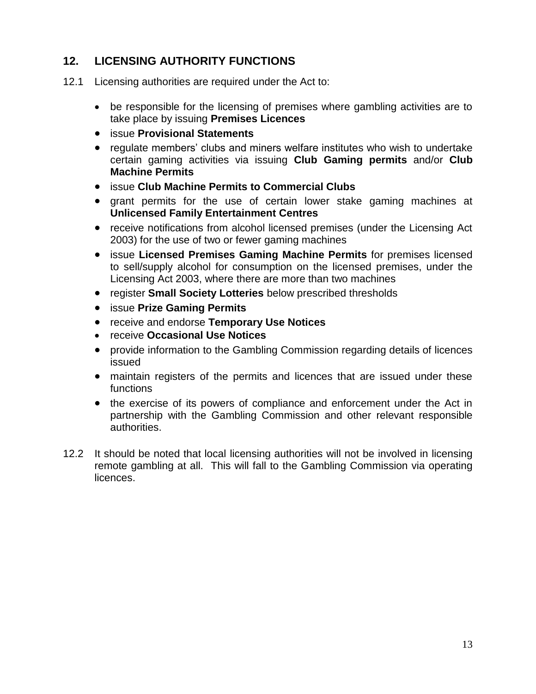#### **12. LICENSING AUTHORITY FUNCTIONS**

- 12.1 Licensing authorities are required under the Act to:
	- be responsible for the licensing of premises where gambling activities are to take place by issuing **Premises Licences**
	- issue **Provisional Statements**
	- regulate members' clubs and miners welfare institutes who wish to undertake certain gaming activities via issuing **Club Gaming permits** and/or **Club Machine Permits**
	- issue **Club Machine Permits to Commercial Clubs**
	- grant permits for the use of certain lower stake gaming machines at **Unlicensed Family Entertainment Centres**
	- receive notifications from alcohol licensed premises (under the Licensing Act 2003) for the use of two or fewer gaming machines
	- **issue Licensed Premises Gaming Machine Permits** for premises licensed to sell/supply alcohol for consumption on the licensed premises, under the Licensing Act 2003, where there are more than two machines
	- register **Small Society Lotteries** below prescribed thresholds
	- issue **Prize Gaming Permits**
	- **•** receive and endorse **Temporary Use Notices**
	- receive **Occasional Use Notices**
	- provide information to the Gambling Commission regarding details of licences issued
	- maintain registers of the permits and licences that are issued under these functions
	- the exercise of its powers of compliance and enforcement under the Act in partnership with the Gambling Commission and other relevant responsible authorities.
- 12.2 It should be noted that local licensing authorities will not be involved in licensing remote gambling at all. This will fall to the Gambling Commission via operating licences.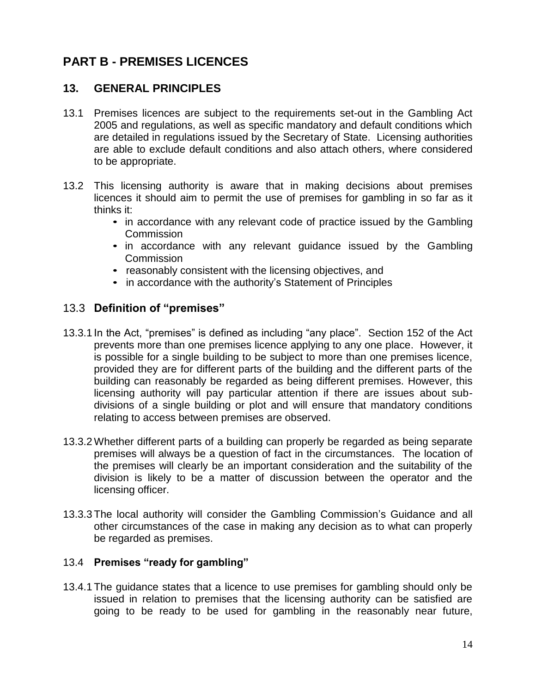## **PART B - PREMISES LICENCES**

#### **13. GENERAL PRINCIPLES**

- 13.1 Premises licences are subject to the requirements set-out in the Gambling Act 2005 and regulations, as well as specific mandatory and default conditions which are detailed in regulations issued by the Secretary of State. Licensing authorities are able to exclude default conditions and also attach others, where considered to be appropriate.
- 13.2 This licensing authority is aware that in making decisions about premises licences it should aim to permit the use of premises for gambling in so far as it thinks it:
	- in accordance with any relevant code of practice issued by the Gambling **Commission**
	- in accordance with any relevant guidance issued by the Gambling Commission
	- reasonably consistent with the licensing objectives, and
	- in accordance with the authority's Statement of Principles

#### 13.3 **Definition of "premises"**

- 13.3.1 In the Act, "premises" is defined as including "any place". Section 152 of the Act prevents more than one premises licence applying to any one place. However, it is possible for a single building to be subject to more than one premises licence, provided they are for different parts of the building and the different parts of the building can reasonably be regarded as being different premises. However, this licensing authority will pay particular attention if there are issues about subdivisions of a single building or plot and will ensure that mandatory conditions relating to access between premises are observed.
- 13.3.2 Whether different parts of a building can properly be regarded as being separate premises will always be a question of fact in the circumstances. The location of the premises will clearly be an important consideration and the suitability of the division is likely to be a matter of discussion between the operator and the licensing officer.
- 13.3.3 The local authority will consider the Gambling Commission's Guidance and all other circumstances of the case in making any decision as to what can properly be regarded as premises.

#### 13.4 **Premises "ready for gambling"**

13.4.1 The guidance states that a licence to use premises for gambling should only be issued in relation to premises that the licensing authority can be satisfied are going to be ready to be used for gambling in the reasonably near future,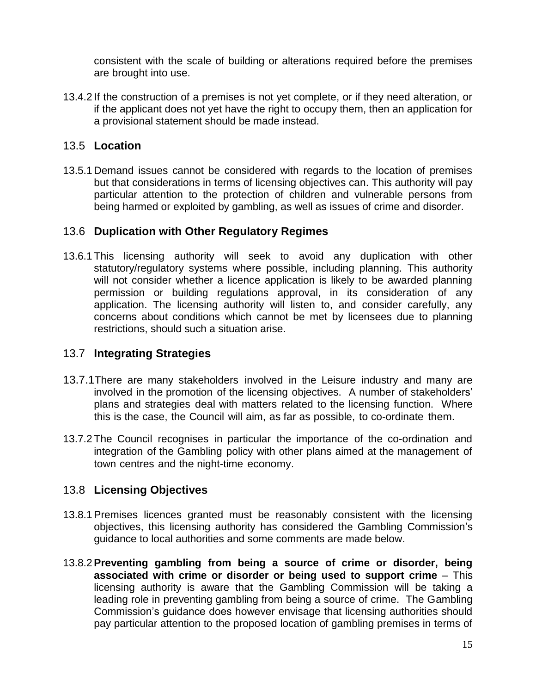consistent with the scale of building or alterations required before the premises are brought into use.

13.4.2 If the construction of a premises is not yet complete, or if they need alteration, or if the applicant does not yet have the right to occupy them, then an application for a provisional statement should be made instead.

#### 13.5 **Location**

13.5.1 Demand issues cannot be considered with regards to the location of premises but that considerations in terms of licensing objectives can. This authority will pay particular attention to the protection of children and vulnerable persons from being harmed or exploited by gambling, as well as issues of crime and disorder.

#### 13.6 **Duplication with Other Regulatory Regimes**

13.6.1 This licensing authority will seek to avoid any duplication with other statutory/regulatory systems where possible, including planning. This authority will not consider whether a licence application is likely to be awarded planning permission or building regulations approval, in its consideration of any application. The licensing authority will listen to, and consider carefully, any concerns about conditions which cannot be met by licensees due to planning restrictions, should such a situation arise.

#### 13.7 **Integrating Strategies**

- 13.7.1There are many stakeholders involved in the Leisure industry and many are involved in the promotion of the licensing objectives. A number of stakeholders' plans and strategies deal with matters related to the licensing function. Where this is the case, the Council will aim, as far as possible, to co-ordinate them.
- 13.7.2 The Council recognises in particular the importance of the co-ordination and integration of the Gambling policy with other plans aimed at the management of town centres and the night-time economy.

#### 13.8 **Licensing Objectives**

- 13.8.1 Premises licences granted must be reasonably consistent with the licensing objectives, this licensing authority has considered the Gambling Commission's guidance to local authorities and some comments are made below.
- 13.8.2**Preventing gambling from being a source of crime or disorder, being associated with crime or disorder or being used to support crime** – This licensing authority is aware that the Gambling Commission will be taking a leading role in preventing gambling from being a source of crime. The Gambling Commission's guidance does however envisage that licensing authorities should pay particular attention to the proposed location of gambling premises in terms of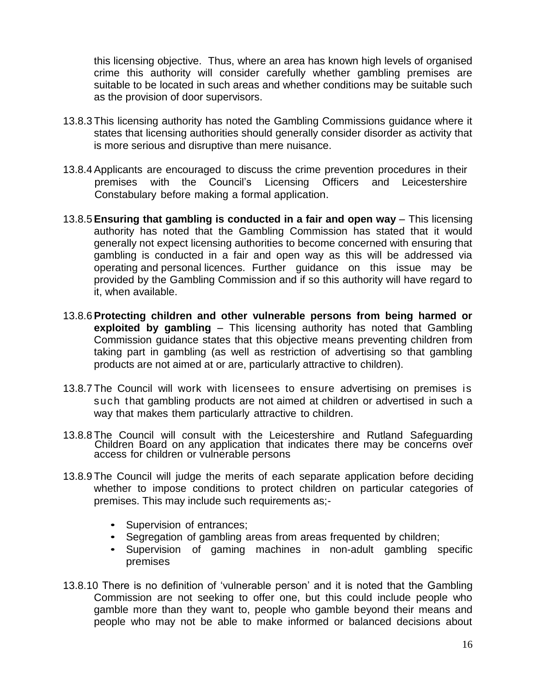this licensing objective. Thus, where an area has known high levels of organised crime this authority will consider carefully whether gambling premises are suitable to be located in such areas and whether conditions may be suitable such as the provision of door supervisors.

- 13.8.3 This licensing authority has noted the Gambling Commissions guidance where it states that licensing authorities should generally consider disorder as activity that is more serious and disruptive than mere nuisance.
- 13.8.4 Applicants are encouraged to discuss the crime prevention procedures in their premises with the Council's Licensing Officers and Leicestershire Constabulary before making a formal application.
- 13.8.5**Ensuring that gambling is conducted in a fair and open way** This licensing authority has noted that the Gambling Commission has stated that it would generally not expect licensing authorities to become concerned with ensuring that gambling is conducted in a fair and open way as this will be addressed via operating and personal licences. Further guidance on this issue may be provided by the Gambling Commission and if so this authority will have regard to it, when available.
- 13.8.6**Protecting children and other vulnerable persons from being harmed or exploited by gambling** – This licensing authority has noted that Gambling Commission guidance states that this objective means preventing children from taking part in gambling (as well as restriction of advertising so that gambling products are not aimed at or are, particularly attractive to children).
- 13.8.7 The Council will work with licensees to ensure advertising on premises is such that gambling products are not aimed at children or advertised in such a way that makes them particularly attractive to children.
- 13.8.8 The Council will consult with the Leicestershire and Rutland Safeguarding Children Board on any application that indicates there may be concerns over access for children or vulnerable persons
- 13.8.9 The Council will judge the merits of each separate application before deciding whether to impose conditions to protect children on particular categories of premises. This may include such requirements as;-
	- Supervision of entrances;
	- Segregation of gambling areas from areas frequented by children;
	- Supervision of gaming machines in non-adult gambling specific premises
- 13.8.10 There is no definition of 'vulnerable person' and it is noted that the Gambling Commission are not seeking to offer one, but this could include people who gamble more than they want to, people who gamble beyond their means and people who may not be able to make informed or balanced decisions about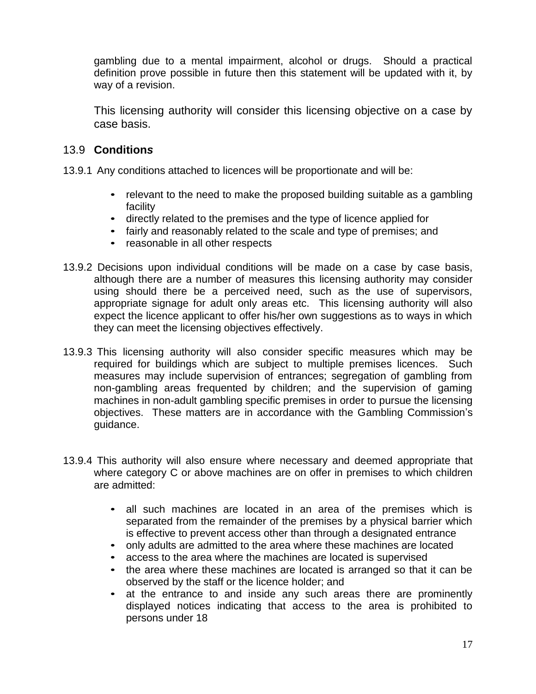gambling due to a mental impairment, alcohol or drugs. Should a practical definition prove possible in future then this statement will be updated with it, by way of a revision.

This licensing authority will consider this licensing objective on a case by case basis.

#### 13.9 **Condition***s*

- 13.9.1 Any conditions attached to licences will be proportionate and will be:
	- relevant to the need to make the proposed building suitable as a gambling facility
	- directly related to the premises and the type of licence applied for
	- fairly and reasonably related to the scale and type of premises; and
	- reasonable in all other respects
- 13.9.2 Decisions upon individual conditions will be made on a case by case basis, although there are a number of measures this licensing authority may consider using should there be a perceived need, such as the use of supervisors, appropriate signage for adult only areas etc. This licensing authority will also expect the licence applicant to offer his/her own suggestions as to ways in which they can meet the licensing objectives effectively.
- 13.9.3 This licensing authority will also consider specific measures which may be required for buildings which are subject to multiple premises licences. Such measures may include supervision of entrances; segregation of gambling from non-gambling areas frequented by children; and the supervision of gaming machines in non-adult gambling specific premises in order to pursue the licensing objectives. These matters are in accordance with the Gambling Commission's guidance.
- 13.9.4 This authority will also ensure where necessary and deemed appropriate that where category C or above machines are on offer in premises to which children are admitted:
	- all such machines are located in an area of the premises which is separated from the remainder of the premises by a physical barrier which is effective to prevent access other than through a designated entrance
	- only adults are admitted to the area where these machines are located
	- access to the area where the machines are located is supervised
	- the area where these machines are located is arranged so that it can be observed by the staff or the licence holder; and
	- at the entrance to and inside any such areas there are prominently displayed notices indicating that access to the area is prohibited to persons under 18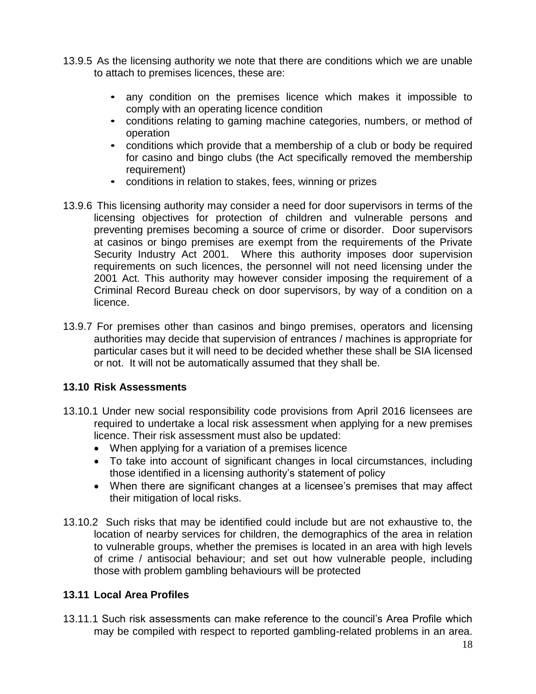- 13.9.5 As the licensing authority we note that there are conditions which we are unable to attach to premises licences, these are:
	- any condition on the premises licence which makes it impossible to comply with an operating licence condition
	- conditions relating to gaming machine categories, numbers, or method of operation
	- conditions which provide that a membership of a club or body be required for casino and bingo clubs (the Act specifically removed the membership requirement)
	- conditions in relation to stakes, fees, winning or prizes
- 13.9.6 This licensing authority may consider a need for door supervisors in terms of the licensing objectives for protection of children and vulnerable persons and preventing premises becoming a source of crime or disorder. Door supervisors at casinos or bingo premises are exempt from the requirements of the Private Security Industry Act 2001. Where this authority imposes door supervision requirements on such licences, the personnel will not need licensing under the 2001 Act. This authority may however consider imposing the requirement of a Criminal Record Bureau check on door supervisors, by way of a condition on a licence.
- 13.9.7 For premises other than casinos and bingo premises, operators and licensing authorities may decide that supervision of entrances / machines is appropriate for particular cases but it will need to be decided whether these shall be SIA licensed or not. It will not be automatically assumed that they shall be.

#### **13.10 Risk Assessments**

- 13.10.1 Under new social responsibility code provisions from April 2016 licensees are required to undertake a local risk assessment when applying for a new premises licence. Their risk assessment must also be updated:
	- When applying for a variation of a premises licence
	- To take into account of significant changes in local circumstances, including those identified in a licensing authority's statement of policy
	- When there are significant changes at a licensee's premises that may affect their mitigation of local risks.
- 13.10.2 Such risks that may be identified could include but are not exhaustive to, the location of nearby services for children, the demographics of the area in relation to vulnerable groups, whether the premises is located in an area with high levels of crime / antisocial behaviour; and set out how vulnerable people, including those with problem gambling behaviours will be protected

#### **13.11 Local Area Profiles**

13.11.1 Such risk assessments can make reference to the council's Area Profile which may be compiled with respect to reported gambling-related problems in an area.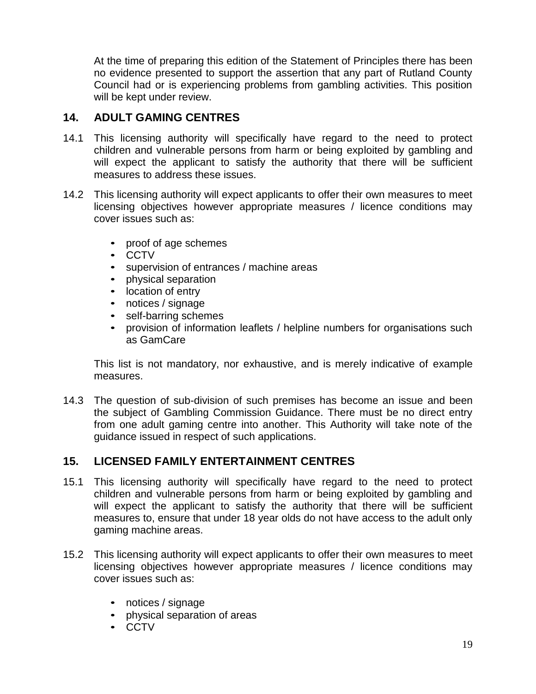At the time of preparing this edition of the Statement of Principles there has been no evidence presented to support the assertion that any part of Rutland County Council had or is experiencing problems from gambling activities. This position will be kept under review.

#### **14. ADULT GAMING CENTRES**

- 14.1 This licensing authority will specifically have regard to the need to protect children and vulnerable persons from harm or being exploited by gambling and will expect the applicant to satisfy the authority that there will be sufficient measures to address these issues.
- 14.2 This licensing authority will expect applicants to offer their own measures to meet licensing objectives however appropriate measures / licence conditions may cover issues such as:
	- proof of age schemes
	- CCTV
	- supervision of entrances / machine areas
	- physical separation
	- location of entry
	- notices / signage
	- self-barring schemes
	- provision of information leaflets / helpline numbers for organisations such as GamCare

This list is not mandatory, nor exhaustive, and is merely indicative of example measures.

14.3 The question of sub-division of such premises has become an issue and been the subject of Gambling Commission Guidance. There must be no direct entry from one adult gaming centre into another. This Authority will take note of the guidance issued in respect of such applications.

#### **15. LICENSED FAMILY ENTERTAINMENT CENTRES**

- 15.1 This licensing authority will specifically have regard to the need to protect children and vulnerable persons from harm or being exploited by gambling and will expect the applicant to satisfy the authority that there will be sufficient measures to, ensure that under 18 year olds do not have access to the adult only gaming machine areas.
- 15.2 This licensing authority will expect applicants to offer their own measures to meet licensing objectives however appropriate measures / licence conditions may cover issues such as:
	- notices / signage
	- physical separation of areas
	- CCTV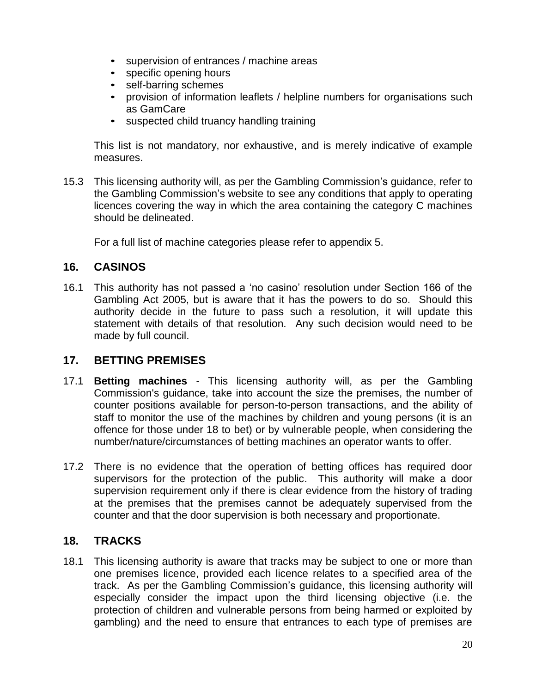- supervision of entrances / machine areas
- specific opening hours
- self-barring schemes
- provision of information leaflets / helpline numbers for organisations such as GamCare
- suspected child truancy handling training

This list is not mandatory, nor exhaustive, and is merely indicative of example measures.

15.3 This licensing authority will, as per the Gambling Commission's guidance, refer to the Gambling Commission's website to see any conditions that apply to operating licences covering the way in which the area containing the category C machines should be delineated.

For a full list of machine categories please refer to appendix 5.

#### **16. CASINOS**

16.1 This authority has not passed a 'no casino' resolution under Section 166 of the Gambling Act 2005, but is aware that it has the powers to do so. Should this authority decide in the future to pass such a resolution, it will update this statement with details of that resolution. Any such decision would need to be made by full council.

#### **17. BETTING PREMISES**

- 17.1 **Betting machines** *-* This licensing authority will, as per the Gambling Commission's guidance, take into account the size the premises, the number of counter positions available for person-to-person transactions, and the ability of staff to monitor the use of the machines by children and young persons (it is an offence for those under 18 to bet) or by vulnerable people, when considering the number/nature/circumstances of betting machines an operator wants to offer.
- 17.2 There is no evidence that the operation of betting offices has required door supervisors for the protection of the public. This authority will make a door supervision requirement only if there is clear evidence from the history of trading at the premises that the premises cannot be adequately supervised from the counter and that the door supervision is both necessary and proportionate.

#### **18. TRACKS**

18.1 This licensing authority is aware that tracks may be subject to one or more than one premises licence, provided each licence relates to a specified area of the track. As per the Gambling Commission's guidance, this licensing authority will especially consider the impact upon the third licensing objective (i.e. the protection of children and vulnerable persons from being harmed or exploited by gambling) and the need to ensure that entrances to each type of premises are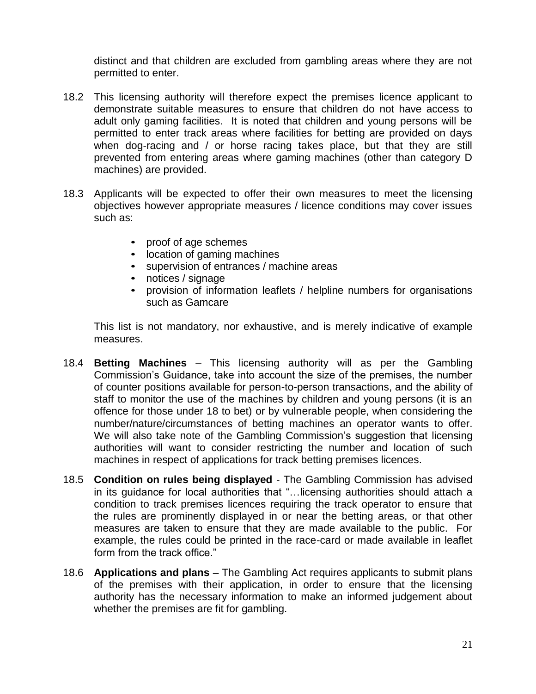distinct and that children are excluded from gambling areas where they are not permitted to enter.

- 18.2 This licensing authority will therefore expect the premises licence applicant to demonstrate suitable measures to ensure that children do not have access to adult only gaming facilities. It is noted that children and young persons will be permitted to enter track areas where facilities for betting are provided on days when dog-racing and / or horse racing takes place, but that they are still prevented from entering areas where gaming machines (other than category D machines) are provided.
- 18.3 Applicants will be expected to offer their own measures to meet the licensing objectives however appropriate measures / licence conditions may cover issues such as:
	- proof of age schemes
	- location of gaming machines
	- supervision of entrances / machine areas
	- notices / signage
	- provision of information leaflets / helpline numbers for organisations such as Gamcare

This list is not mandatory, nor exhaustive, and is merely indicative of example measures.

- 18.4 **Betting Machines** This licensing authority will as per the Gambling Commission's Guidance, take into account the size of the premises, the number of counter positions available for person-to-person transactions, and the ability of staff to monitor the use of the machines by children and young persons (it is an offence for those under 18 to bet) or by vulnerable people, when considering the number/nature/circumstances of betting machines an operator wants to offer. We will also take note of the Gambling Commission's suggestion that licensing authorities will want to consider restricting the number and location of such machines in respect of applications for track betting premises licences.
- 18.5 **Condition on rules being displayed** *-* The Gambling Commission has advised in its guidance for local authorities that "…licensing authorities should attach a condition to track premises licences requiring the track operator to ensure that the rules are prominently displayed in or near the betting areas, or that other measures are taken to ensure that they are made available to the public. For example, the rules could be printed in the race-card or made available in leaflet form from the track office."
- 18.6 **Applications and plans** The Gambling Act requires applicants to submit plans of the premises with their application, in order to ensure that the licensing authority has the necessary information to make an informed judgement about whether the premises are fit for gambling.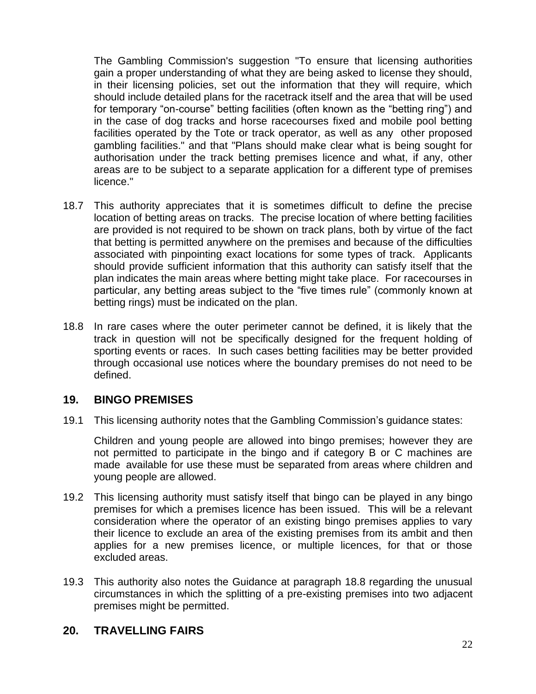The Gambling Commission's suggestion "To ensure that licensing authorities gain a proper understanding of what they are being asked to license they should, in their licensing policies, set out the information that they will require, which should include detailed plans for the racetrack itself and the area that will be used for temporary "on-course" betting facilities (often known as the "betting ring") and in the case of dog tracks and horse racecourses fixed and mobile pool betting facilities operated by the Tote or track operator, as well as any other proposed gambling facilities." and that "Plans should make clear what is being sought for authorisation under the track betting premises licence and what, if any, other areas are to be subject to a separate application for a different type of premises licence."

- 18.7 This authority appreciates that it is sometimes difficult to define the precise location of betting areas on tracks. The precise location of where betting facilities are provided is not required to be shown on track plans, both by virtue of the fact that betting is permitted anywhere on the premises and because of the difficulties associated with pinpointing exact locations for some types of track. Applicants should provide sufficient information that this authority can satisfy itself that the plan indicates the main areas where betting might take place. For racecourses in particular, any betting areas subject to the "five times rule" (commonly known at betting rings) must be indicated on the plan.
- 18.8 In rare cases where the outer perimeter cannot be defined, it is likely that the track in question will not be specifically designed for the frequent holding of sporting events or races. In such cases betting facilities may be better provided through occasional use notices where the boundary premises do not need to be defined.

#### **19. BINGO PREMISES**

19.1 This licensing authority notes that the Gambling Commission's guidance states:

Children and young people are allowed into bingo premises; however they are not permitted to participate in the bingo and if category B or C machines are made available for use these must be separated from areas where children and young people are allowed.

- 19.2 This licensing authority must satisfy itself that bingo can be played in any bingo premises for which a premises licence has been issued. This will be a relevant consideration where the operator of an existing bingo premises applies to vary their licence to exclude an area of the existing premises from its ambit and then applies for a new premises licence, or multiple licences, for that or those excluded areas.
- 19.3 This authority also notes the Guidance at paragraph 18.8 regarding the unusual circumstances in which the splitting of a pre-existing premises into two adjacent premises might be permitted.

#### **20. TRAVELLING FAIRS**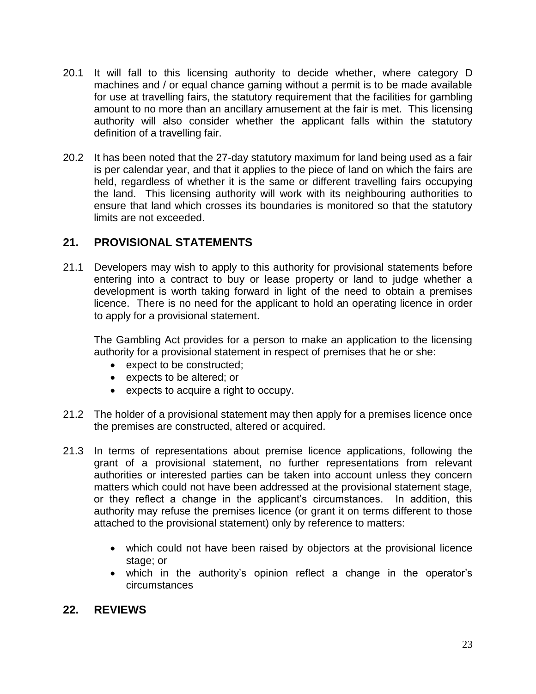- 20.1 It will fall to this licensing authority to decide whether, where category D machines and / or equal chance gaming without a permit is to be made available for use at travelling fairs, the statutory requirement that the facilities for gambling amount to no more than an ancillary amusement at the fair is met. This licensing authority will also consider whether the applicant falls within the statutory definition of a travelling fair.
- 20.2 It has been noted that the 27-day statutory maximum for land being used as a fair is per calendar year, and that it applies to the piece of land on which the fairs are held, regardless of whether it is the same or different travelling fairs occupying the land. This licensing authority will work with its neighbouring authorities to ensure that land which crosses its boundaries is monitored so that the statutory limits are not exceeded.

#### **21. PROVISIONAL STATEMENTS**

21.1 Developers may wish to apply to this authority for provisional statements before entering into a contract to buy or lease property or land to judge whether a development is worth taking forward in light of the need to obtain a premises licence. There is no need for the applicant to hold an operating licence in order to apply for a provisional statement.

The Gambling Act provides for a person to make an application to the licensing authority for a provisional statement in respect of premises that he or she:

- expect to be constructed;
- expects to be altered; or
- expects to acquire a right to occupy.
- 21.2 The holder of a provisional statement may then apply for a premises licence once the premises are constructed, altered or acquired.
- 21.3 In terms of representations about premise licence applications, following the grant of a provisional statement, no further representations from relevant authorities or interested parties can be taken into account unless they concern matters which could not have been addressed at the provisional statement stage, or they reflect a change in the applicant's circumstances. In addition, this authority may refuse the premises licence (or grant it on terms different to those attached to the provisional statement) only by reference to matters:
	- which could not have been raised by objectors at the provisional licence stage; or
	- which in the authority's opinion reflect a change in the operator's circumstances

#### **22. REVIEWS**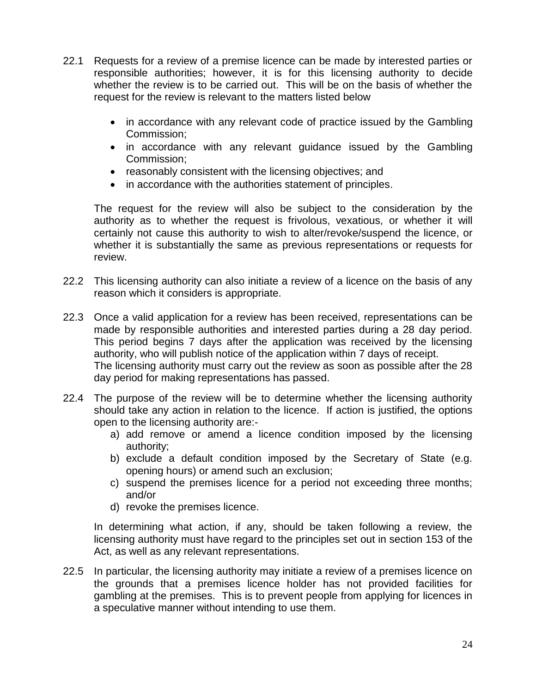- 22.1 Requests for a review of a premise licence can be made by interested parties or responsible authorities; however, it is for this licensing authority to decide whether the review is to be carried out. This will be on the basis of whether the request for the review is relevant to the matters listed below
	- in accordance with any relevant code of practice issued by the Gambling Commission;
	- in accordance with any relevant guidance issued by the Gambling Commission;
	- reasonably consistent with the licensing objectives; and
	- in accordance with the authorities statement of principles.

The request for the review will also be subject to the consideration by the authority as to whether the request is frivolous, vexatious, or whether it will certainly not cause this authority to wish to alter/revoke/suspend the licence, or whether it is substantially the same as previous representations or requests for review.

- 22.2 This licensing authority can also initiate a review of a licence on the basis of any reason which it considers is appropriate.
- 22.3 Once a valid application for a review has been received, representations can be made by responsible authorities and interested parties during a 28 day period. This period begins 7 days after the application was received by the licensing authority, who will publish notice of the application within 7 days of receipt. The licensing authority must carry out the review as soon as possible after the 28 day period for making representations has passed.
- 22.4 The purpose of the review will be to determine whether the licensing authority should take any action in relation to the licence. If action is justified, the options open to the licensing authority are:
	- a) add remove or amend a licence condition imposed by the licensing authority;
	- b) exclude a default condition imposed by the Secretary of State (e.g. opening hours) or amend such an exclusion;
	- c) suspend the premises licence for a period not exceeding three months; and/or
	- d) revoke the premises licence.

In determining what action, if any, should be taken following a review, the licensing authority must have regard to the principles set out in section 153 of the Act, as well as any relevant representations.

22.5 In particular, the licensing authority may initiate a review of a premises licence on the grounds that a premises licence holder has not provided facilities for gambling at the premises. This is to prevent people from applying for licences in a speculative manner without intending to use them.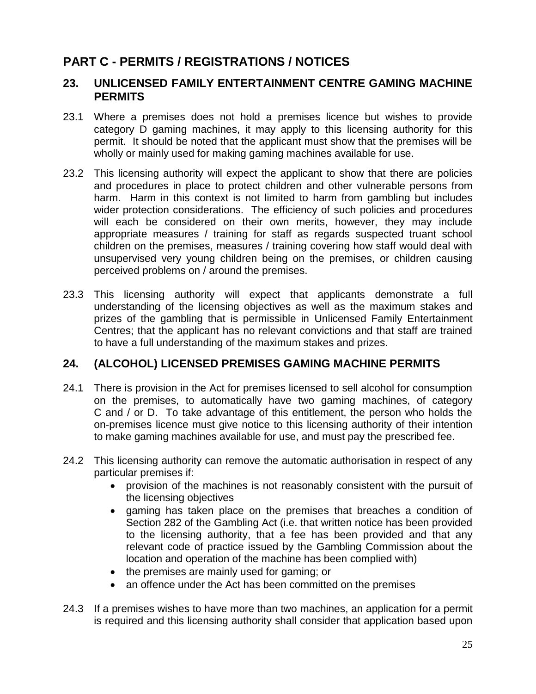### **PART C - PERMITS / REGISTRATIONS / NOTICES**

#### **23. UNLICENSED FAMILY ENTERTAINMENT CENTRE GAMING MACHINE PERMITS**

- 23.1 Where a premises does not hold a premises licence but wishes to provide category D gaming machines, it may apply to this licensing authority for this permit. It should be noted that the applicant must show that the premises will be wholly or mainly used for making gaming machines available for use.
- 23.2 This licensing authority will expect the applicant to show that there are policies and procedures in place to protect children and other vulnerable persons from harm. Harm in this context is not limited to harm from gambling but includes wider protection considerations. The efficiency of such policies and procedures will each be considered on their own merits, however, they may include appropriate measures / training for staff as regards suspected truant school children on the premises, measures / training covering how staff would deal with unsupervised very young children being on the premises, or children causing perceived problems on / around the premises.
- 23.3 This licensing authority will expect that applicants demonstrate a full understanding of the licensing objectives as well as the maximum stakes and prizes of the gambling that is permissible in Unlicensed Family Entertainment Centres; that the applicant has no relevant convictions and that staff are trained to have a full understanding of the maximum stakes and prizes.

#### **24. (ALCOHOL) LICENSED PREMISES GAMING MACHINE PERMITS**

- 24.1 There is provision in the Act for premises licensed to sell alcohol for consumption on the premises, to automatically have two gaming machines, of category C and / or D. To take advantage of this entitlement, the person who holds the on-premises licence must give notice to this licensing authority of their intention to make gaming machines available for use, and must pay the prescribed fee.
- 24.2 This licensing authority can remove the automatic authorisation in respect of any particular premises if:
	- provision of the machines is not reasonably consistent with the pursuit of the licensing objectives
	- gaming has taken place on the premises that breaches a condition of Section 282 of the Gambling Act (i.e. that written notice has been provided to the licensing authority, that a fee has been provided and that any relevant code of practice issued by the Gambling Commission about the location and operation of the machine has been complied with)
	- the premises are mainly used for gaming; or
	- an offence under the Act has been committed on the premises
- 24.3 If a premises wishes to have more than two machines, an application for a permit is required and this licensing authority shall consider that application based upon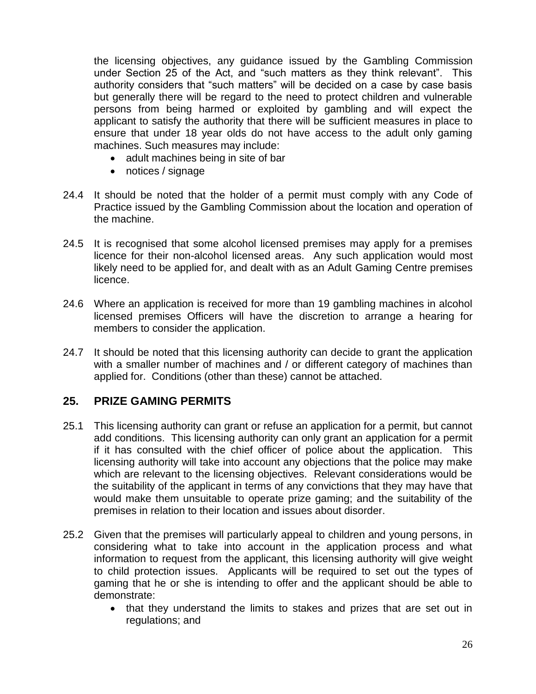the licensing objectives, any guidance issued by the Gambling Commission under Section 25 of the Act, and "such matters as they think relevant". This authority considers that "such matters" will be decided on a case by case basis but generally there will be regard to the need to protect children and vulnerable persons from being harmed or exploited by gambling and will expect the applicant to satisfy the authority that there will be sufficient measures in place to ensure that under 18 year olds do not have access to the adult only gaming machines. Such measures may include:

- adult machines being in site of bar
- notices / signage
- 24.4 It should be noted that the holder of a permit must comply with any Code of Practice issued by the Gambling Commission about the location and operation of the machine.
- 24.5 It is recognised that some alcohol licensed premises may apply for a premises licence for their non-alcohol licensed areas. Any such application would most likely need to be applied for, and dealt with as an Adult Gaming Centre premises licence.
- 24.6 Where an application is received for more than 19 gambling machines in alcohol licensed premises Officers will have the discretion to arrange a hearing for members to consider the application.
- 24.7 It should be noted that this licensing authority can decide to grant the application with a smaller number of machines and / or different category of machines than applied for. Conditions (other than these) cannot be attached.

#### **25. PRIZE GAMING PERMITS**

- 25.1 This licensing authority can grant or refuse an application for a permit, but cannot add conditions. This licensing authority can only grant an application for a permit if it has consulted with the chief officer of police about the application. This licensing authority will take into account any objections that the police may make which are relevant to the licensing objectives. Relevant considerations would be the suitability of the applicant in terms of any convictions that they may have that would make them unsuitable to operate prize gaming; and the suitability of the premises in relation to their location and issues about disorder.
- 25.2 Given that the premises will particularly appeal to children and young persons, in considering what to take into account in the application process and what information to request from the applicant, this licensing authority will give weight to child protection issues. Applicants will be required to set out the types of gaming that he or she is intending to offer and the applicant should be able to demonstrate:
	- that they understand the limits to stakes and prizes that are set out in regulations; and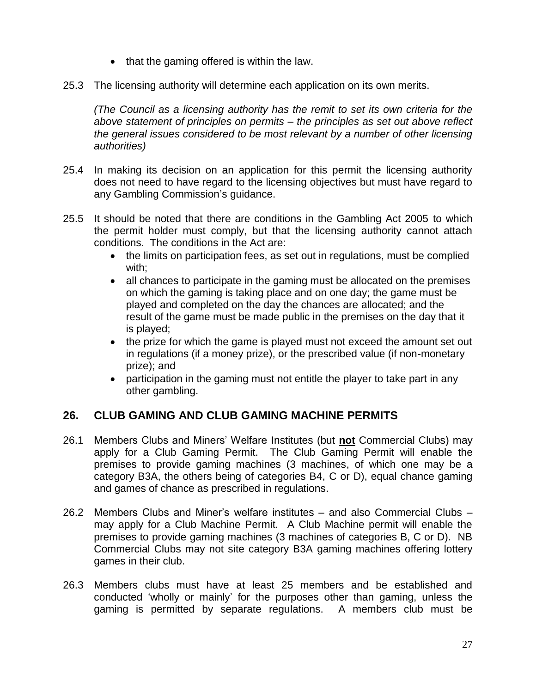- $\bullet$  that the gaming offered is within the law.
- 25.3 The licensing authority will determine each application on its own merits.

*(The Council as a licensing authority has the remit to set its own criteria for the above statement of principles on permits – the principles as set out above reflect the general issues considered to be most relevant by a number of other licensing authorities)* 

- 25.4 In making its decision on an application for this permit the licensing authority does not need to have regard to the licensing objectives but must have regard to any Gambling Commission's guidance.
- 25.5 It should be noted that there are conditions in the Gambling Act 2005 to which the permit holder must comply, but that the licensing authority cannot attach conditions. The conditions in the Act are:
	- the limits on participation fees, as set out in regulations, must be complied with;
	- all chances to participate in the gaming must be allocated on the premises on which the gaming is taking place and on one day; the game must be played and completed on the day the chances are allocated; and the result of the game must be made public in the premises on the day that it is played;
	- the prize for which the game is played must not exceed the amount set out in regulations (if a money prize), or the prescribed value (if non-monetary prize); and
	- participation in the gaming must not entitle the player to take part in any other gambling.

#### **26. CLUB GAMING AND CLUB GAMING MACHINE PERMITS**

- 26.1 Members Clubs and Miners' Welfare Institutes (but **not** Commercial Clubs) may apply for a Club Gaming Permit. The Club Gaming Permit will enable the premises to provide gaming machines (3 machines, of which one may be a category B3A, the others being of categories B4, C or D), equal chance gaming and games of chance as prescribed in regulations.
- 26.2 Members Clubs and Miner's welfare institutes and also Commercial Clubs may apply for a Club Machine Permit. A Club Machine permit will enable the premises to provide gaming machines (3 machines of categories B, C or D). NB Commercial Clubs may not site category B3A gaming machines offering lottery games in their club.
- 26.3 Members clubs must have at least 25 members and be established and conducted 'wholly or mainly' for the purposes other than gaming, unless the gaming is permitted by separate regulations. A members club must be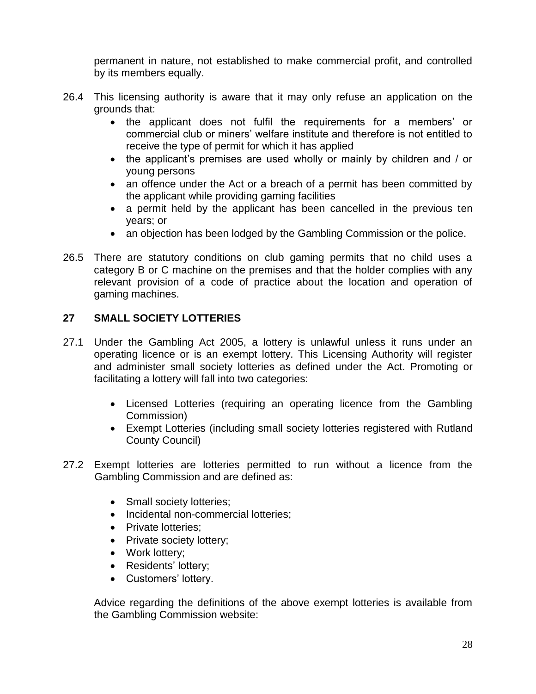permanent in nature, not established to make commercial profit, and controlled by its members equally.

- 26.4 This licensing authority is aware that it may only refuse an application on the grounds that:
	- the applicant does not fulfil the requirements for a members' or commercial club or miners' welfare institute and therefore is not entitled to receive the type of permit for which it has applied
	- the applicant's premises are used wholly or mainly by children and / or young persons
	- an offence under the Act or a breach of a permit has been committed by the applicant while providing gaming facilities
	- a permit held by the applicant has been cancelled in the previous ten years; or
	- an objection has been lodged by the Gambling Commission or the police.
- 26.5 There are statutory conditions on club gaming permits that no child uses a category B or C machine on the premises and that the holder complies with any relevant provision of a code of practice about the location and operation of gaming machines.

#### **27 SMALL SOCIETY LOTTERIES**

- 27.1 Under the Gambling Act 2005, a lottery is unlawful unless it runs under an operating licence or is an exempt lottery. This Licensing Authority will register and administer small society lotteries as defined under the Act. Promoting or facilitating a lottery will fall into two categories:
	- Licensed Lotteries (requiring an operating licence from the Gambling Commission)
	- Exempt Lotteries (including small society lotteries registered with Rutland County Council)
- 27.2 Exempt lotteries are lotteries permitted to run without a licence from the Gambling Commission and are defined as:
	- Small society lotteries;
	- Incidental non-commercial lotteries;
	- Private lotteries:
	- Private society lottery;
	- Work lottery;
	- Residents' lottery;
	- Customers' lottery.

Advice regarding the definitions of the above exempt lotteries is available from the Gambling Commission website: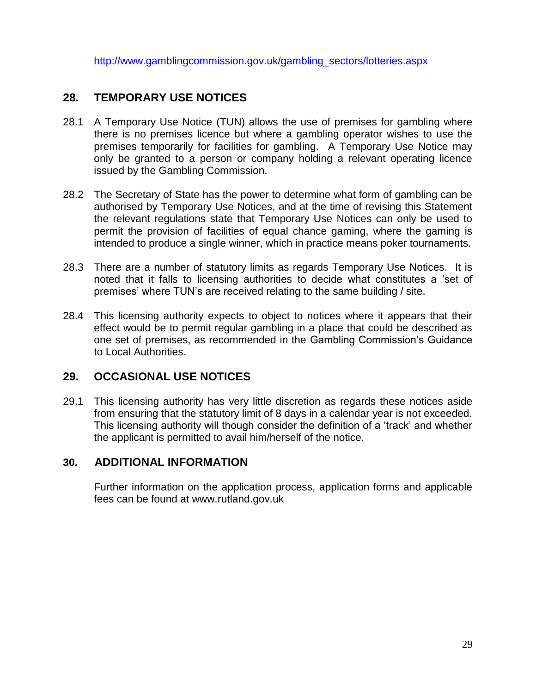[http://www.gamblingcommission.gov.uk/gambling\\_sectors/lotteries.aspx](http://www.gamblingcommission.gov.uk/gambling_sectors/lotteries.aspx)

#### **28. TEMPORARY USE NOTICES**

- 28.1 A Temporary Use Notice (TUN) allows the use of premises for gambling where there is no premises licence but where a gambling operator wishes to use the premises temporarily for facilities for gambling. A Temporary Use Notice may only be granted to a person or company holding a relevant operating licence issued by the Gambling Commission.
- 28.2 The Secretary of State has the power to determine what form of gambling can be authorised by Temporary Use Notices, and at the time of revising this Statement the relevant regulations state that Temporary Use Notices can only be used to permit the provision of facilities of equal chance gaming, where the gaming is intended to produce a single winner, which in practice means poker tournaments.
- 28.3 There are a number of statutory limits as regards Temporary Use Notices. It is noted that it falls to licensing authorities to decide what constitutes a 'set of premises' where TUN's are received relating to the same building / site.
- 28.4 This licensing authority expects to object to notices where it appears that their effect would be to permit regular gambling in a place that could be described as one set of premises, as recommended in the Gambling Commission's Guidance to Local Authorities.

#### **29. OCCASIONAL USE NOTICES**

29.1 This licensing authority has very little discretion as regards these notices aside from ensuring that the statutory limit of 8 days in a calendar year is not exceeded. This licensing authority will though consider the definition of a 'track' and whether the applicant is permitted to avail him/herself of the notice.

#### **30. ADDITIONAL INFORMATION**

Further information on the application process, application forms and applicable fees can be found at www.rutland.gov.uk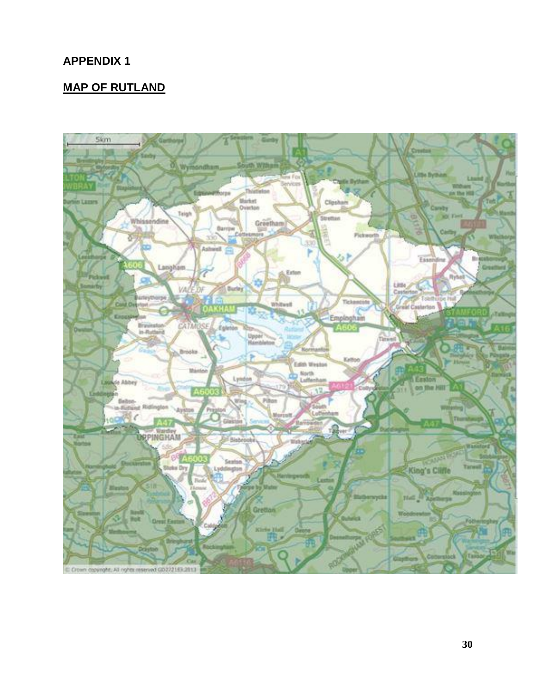#### **MAP OF RUTLAND**

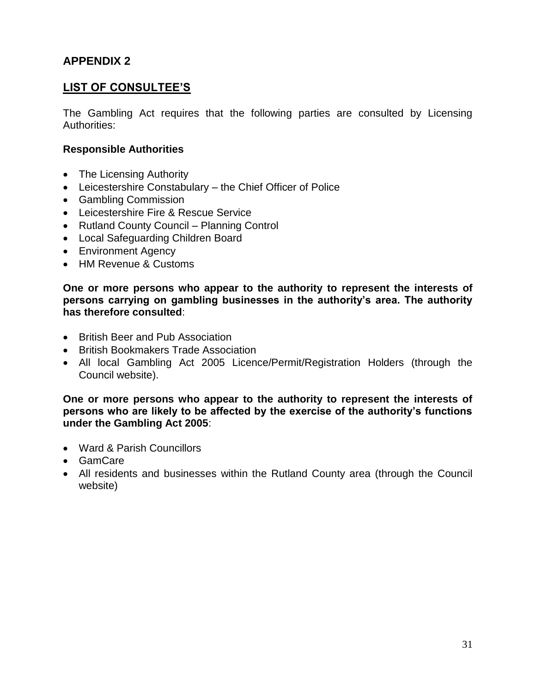#### **LIST OF CONSULTEE'S**

The Gambling Act requires that the following parties are consulted by Licensing Authorities:

#### **Responsible Authorities**

- The Licensing Authority
- Leicestershire Constabulary the Chief Officer of Police
- Gambling Commission
- Leicestershire Fire & Rescue Service
- Rutland County Council Planning Control
- Local Safeguarding Children Board
- Environment Agency
- HM Revenue & Customs

**One or more persons who appear to the authority to represent the interests of persons carrying on gambling businesses in the authority's area. The authority has therefore consulted**:

- British Beer and Pub Association
- British Bookmakers Trade Association
- All local Gambling Act 2005 Licence/Permit/Registration Holders (through the Council website).

**One or more persons who appear to the authority to represent the interests of persons who are likely to be affected by the exercise of the authority's functions under the Gambling Act 2005**:

- Ward & Parish Councillors
- GamCare
- All residents and businesses within the Rutland County area (through the Council website)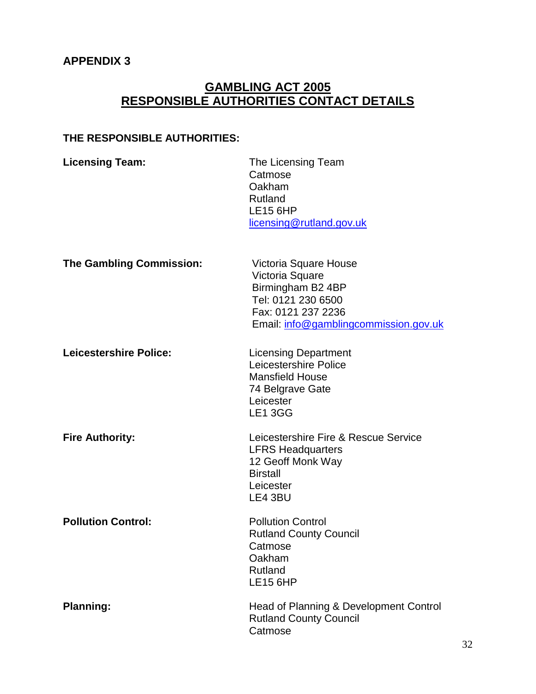#### **GAMBLING ACT 2005 RESPONSIBLE AUTHORITIES CONTACT DETAILS**

#### **THE RESPONSIBLE AUTHORITIES:**

| <b>Licensing Team:</b>          | The Licensing Team<br>Catmose<br>Oakham<br>Rutland<br><b>LE15 6HP</b><br>licensing@rutland.gov.uk                                                  |
|---------------------------------|----------------------------------------------------------------------------------------------------------------------------------------------------|
| <b>The Gambling Commission:</b> | Victoria Square House<br>Victoria Square<br>Birmingham B2 4BP<br>Tel: 0121 230 6500<br>Fax: 0121 237 2236<br>Email: info@gamblingcommission.gov.uk |
| <b>Leicestershire Police:</b>   | <b>Licensing Department</b><br>Leicestershire Police<br><b>Mansfield House</b><br>74 Belgrave Gate<br>Leicester<br><b>LE1 3GG</b>                  |
| <b>Fire Authority:</b>          | Leicestershire Fire & Rescue Service<br><b>LFRS Headquarters</b><br>12 Geoff Monk Way<br><b>Birstall</b><br>Leicester<br>LE4 3BU                   |
| <b>Pollution Control:</b>       | <b>Pollution Control</b><br><b>Rutland County Council</b><br>Catmose<br>Oakham<br>Rutland<br><b>LE15 6HP</b>                                       |
| <b>Planning:</b>                | Head of Planning & Development Control<br><b>Rutland County Council</b><br>Catmose                                                                 |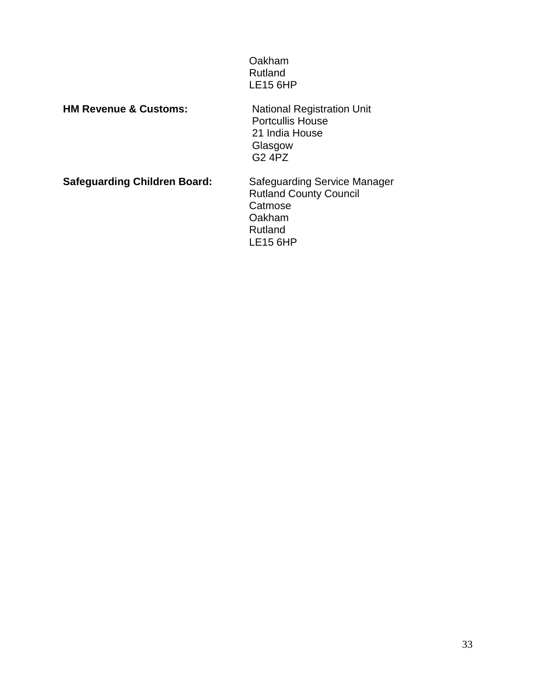| Oakham   |  |
|----------|--|
| Rutland  |  |
| LE15 6HP |  |

**HM Revenue & Customs:** 

National Registration Unit<br>Portcullis House 21 India House Glasgow G2 4PZ

**Safeguarding Children Board:** Safeguarding Service Manager Rutland County Council Catmose Oakham Rutland LE15 6HP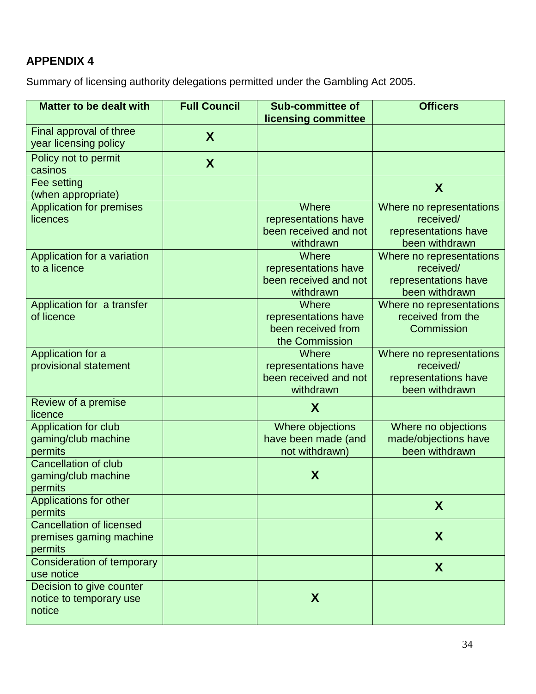Summary of licensing authority delegations permitted under the Gambling Act 2005.

| <b>Matter to be dealt with</b>                                        | <b>Full Council</b> | <b>Sub-committee of</b>                                               | <b>Officers</b>                                                                 |
|-----------------------------------------------------------------------|---------------------|-----------------------------------------------------------------------|---------------------------------------------------------------------------------|
|                                                                       |                     | licensing committee                                                   |                                                                                 |
| Final approval of three<br>year licensing policy                      | X                   |                                                                       |                                                                                 |
| Policy not to permit<br>casinos                                       | X                   |                                                                       |                                                                                 |
| Fee setting<br>(when appropriate)                                     |                     |                                                                       | X                                                                               |
| <b>Application for premises</b><br>licences                           |                     | Where<br>representations have<br>been received and not                | Where no representations<br>received/<br>representations have                   |
| Application for a variation<br>to a licence                           |                     | withdrawn<br>Where<br>representations have<br>been received and not   | been withdrawn<br>Where no representations<br>received/<br>representations have |
|                                                                       |                     | withdrawn                                                             | been withdrawn                                                                  |
| Application for a transfer<br>of licence                              |                     | Where<br>representations have<br>been received from<br>the Commission | Where no representations<br>received from the<br>Commission                     |
| Application for a<br>provisional statement                            |                     | Where<br>representations have<br>been received and not<br>withdrawn   | Where no representations<br>received/<br>representations have<br>been withdrawn |
| Review of a premise<br>licence                                        |                     | X                                                                     |                                                                                 |
| Application for club<br>gaming/club machine<br>permits                |                     | Where objections<br>have been made (and<br>not withdrawn)             | Where no objections<br>made/objections have<br>been withdrawn                   |
| <b>Cancellation of club</b><br>gaming/club machine<br>permits         |                     | X                                                                     |                                                                                 |
| Applications for other<br>permits                                     |                     |                                                                       | X                                                                               |
| <b>Cancellation of licensed</b><br>premises gaming machine<br>permits |                     |                                                                       | X                                                                               |
| <b>Consideration of temporary</b><br>use notice                       |                     |                                                                       | X                                                                               |
| Decision to give counter<br>notice to temporary use<br>notice         |                     | X                                                                     |                                                                                 |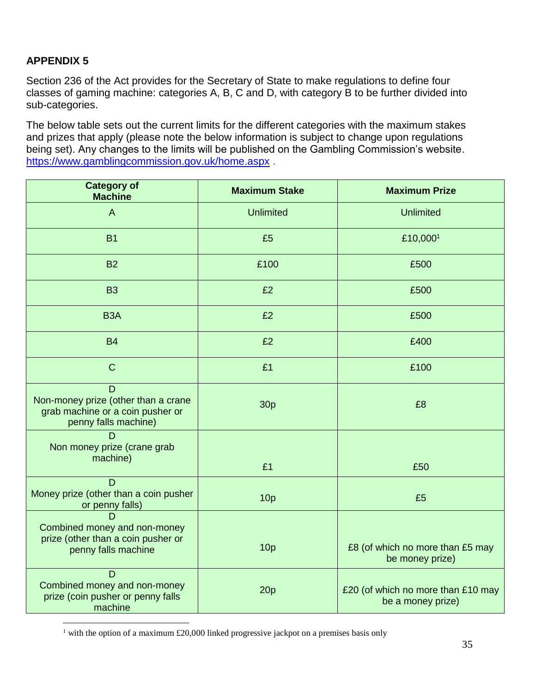$\overline{a}$ 

Section 236 of the Act provides for the Secretary of State to make regulations to define four classes of gaming machine: categories A, B, C and D, with category B to be further divided into sub-categories.

The below table sets out the current limits for the different categories with the maximum stakes and prizes that apply (please note the below information is subject to change upon regulations being set). Any changes to the limits will be published on the Gambling Commission's website. <https://www.gamblingcommission.gov.uk/home.aspx> .

| <b>Category of</b><br><b>Machine</b>                                                                 | <b>Maximum Stake</b> | <b>Maximum Prize</b>                                    |
|------------------------------------------------------------------------------------------------------|----------------------|---------------------------------------------------------|
| $\mathsf{A}$                                                                                         | <b>Unlimited</b>     | <b>Unlimited</b>                                        |
| <b>B1</b>                                                                                            | £5                   | £10,000 <sup>1</sup>                                    |
| <b>B2</b>                                                                                            | £100                 | £500                                                    |
| <b>B3</b>                                                                                            | £2                   | £500                                                    |
| B <sub>3</sub> A                                                                                     | £2                   | £500                                                    |
| <b>B4</b>                                                                                            | £2                   | £400                                                    |
| $\mathsf{C}$                                                                                         | £1                   | £100                                                    |
| D<br>Non-money prize (other than a crane<br>grab machine or a coin pusher or<br>penny falls machine) | 30 <sub>p</sub>      | £8                                                      |
| D<br>Non money prize (crane grab<br>machine)                                                         | £1                   | £50                                                     |
| D<br>Money prize (other than a coin pusher<br>or penny falls)                                        | 10 <sub>p</sub>      | £5                                                      |
| D<br>Combined money and non-money<br>prize (other than a coin pusher or<br>penny falls machine       | 10 <sub>p</sub>      | £8 (of which no more than £5 may<br>be money prize)     |
| D<br>Combined money and non-money<br>prize (coin pusher or penny falls<br>machine                    | 20p                  | £20 (of which no more than £10 may<br>be a money prize) |

<sup>&</sup>lt;sup>1</sup> with the option of a maximum £20,000 linked progressive jackpot on a premises basis only